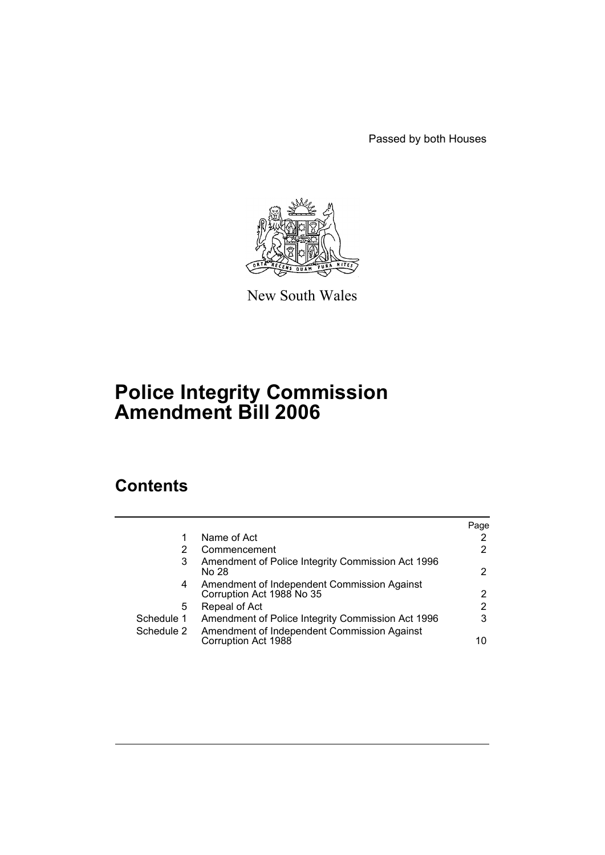Passed by both Houses



New South Wales

# **Police Integrity Commission Amendment Bill 2006**

# **Contents**

|            |                                                                          | Page                  |
|------------|--------------------------------------------------------------------------|-----------------------|
|            | Name of Act                                                              | $\mathbf{2}^{\prime}$ |
| 2          | Commencement                                                             | $\mathbf{2}^{\prime}$ |
| 3          | Amendment of Police Integrity Commission Act 1996<br>No 28               | 2                     |
| 4          | Amendment of Independent Commission Against<br>Corruption Act 1988 No 35 | $\mathbf{2}^{\circ}$  |
| 5          | Repeal of Act                                                            | 2                     |
| Schedule 1 | Amendment of Police Integrity Commission Act 1996                        | 3                     |
| Schedule 2 | Amendment of Independent Commission Against<br>Corruption Act 1988       | 10                    |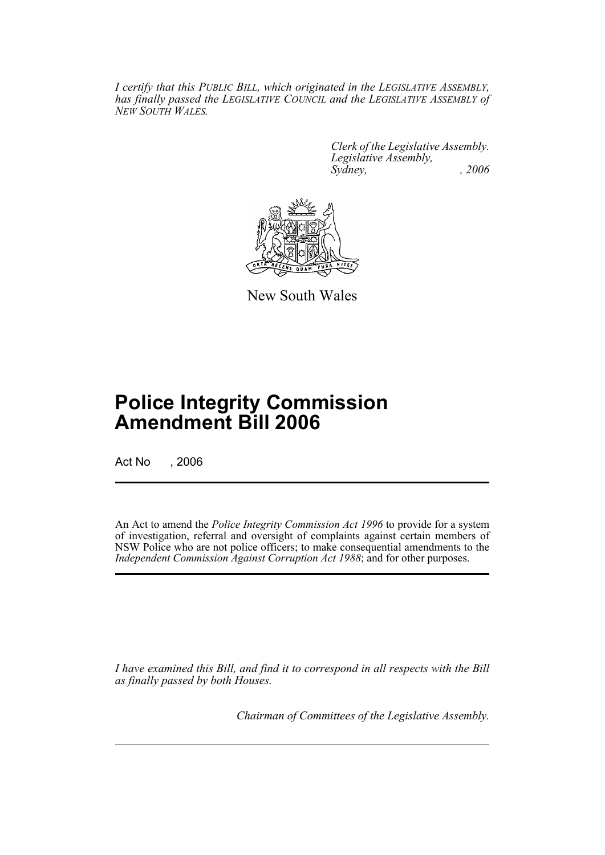*I certify that this PUBLIC BILL, which originated in the LEGISLATIVE ASSEMBLY, has finally passed the LEGISLATIVE COUNCIL and the LEGISLATIVE ASSEMBLY of NEW SOUTH WALES.*

> *Clerk of the Legislative Assembly. Legislative Assembly, Sydney, , 2006*



New South Wales

# **Police Integrity Commission Amendment Bill 2006**

Act No , 2006

An Act to amend the *Police Integrity Commission Act 1996* to provide for a system of investigation, referral and oversight of complaints against certain members of NSW Police who are not police officers; to make consequential amendments to the *Independent Commission Against Corruption Act 1988*; and for other purposes.

*I have examined this Bill, and find it to correspond in all respects with the Bill as finally passed by both Houses.*

*Chairman of Committees of the Legislative Assembly.*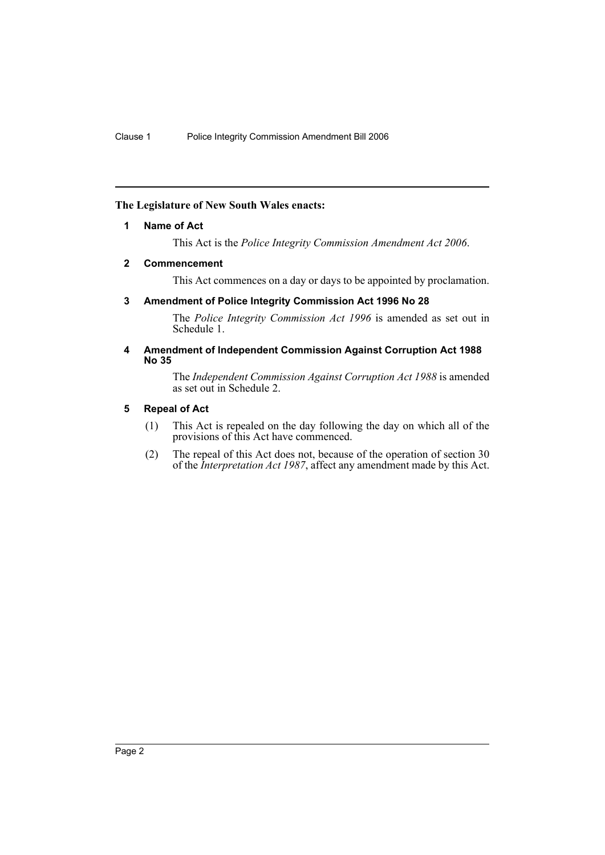# **The Legislature of New South Wales enacts:**

### **1 Name of Act**

This Act is the *Police Integrity Commission Amendment Act 2006*.

#### **2 Commencement**

This Act commences on a day or days to be appointed by proclamation.

# **3 Amendment of Police Integrity Commission Act 1996 No 28**

The *Police Integrity Commission Act 1996* is amended as set out in Schedule 1.

#### **4 Amendment of Independent Commission Against Corruption Act 1988 No 35**

The *Independent Commission Against Corruption Act 1988* is amended as set out in Schedule 2.

# **5 Repeal of Act**

- (1) This Act is repealed on the day following the day on which all of the provisions of this Act have commenced.
- (2) The repeal of this Act does not, because of the operation of section 30 of the *Interpretation Act 1987*, affect any amendment made by this Act.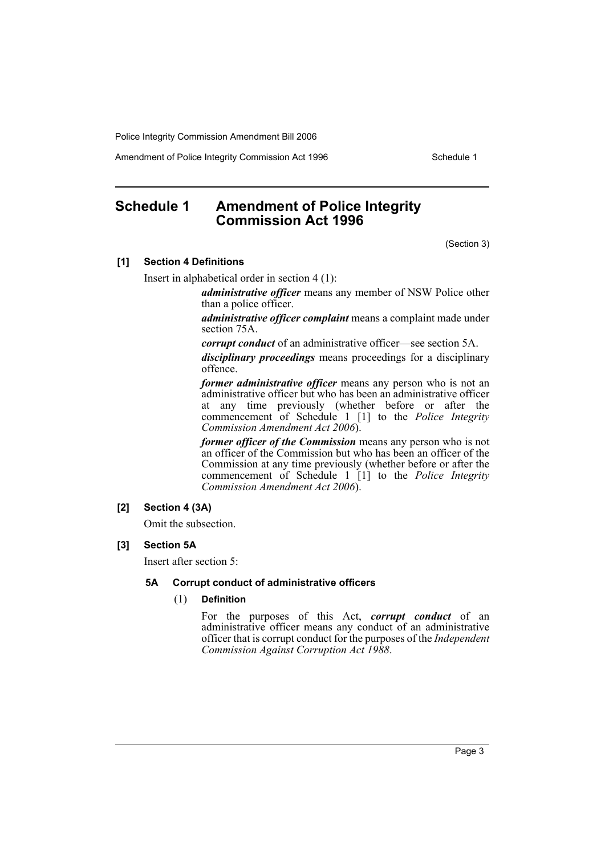Amendment of Police Integrity Commission Act 1996 Schedule 1

# **Schedule 1 Amendment of Police Integrity Commission Act 1996**

(Section 3)

#### **[1] Section 4 Definitions**

Insert in alphabetical order in section 4 (1):

*administrative officer* means any member of NSW Police other than a police officer.

*administrative officer complaint* means a complaint made under section 75A.

*corrupt conduct* of an administrative officer—see section 5A.

*disciplinary proceedings* means proceedings for a disciplinary offence.

*former administrative officer* means any person who is not an administrative officer but who has been an administrative officer at any time previously (whether before or after the commencement of Schedule 1 [1] to the *Police Integrity Commission Amendment Act 2006*).

*former officer of the Commission* means any person who is not an officer of the Commission but who has been an officer of the Commission at any time previously (whether before or after the commencement of Schedule 1 [1] to the *Police Integrity Commission Amendment Act 2006*).

### **[2] Section 4 (3A)**

Omit the subsection.

#### **[3] Section 5A**

Insert after section 5:

#### **5A Corrupt conduct of administrative officers**

#### (1) **Definition**

For the purposes of this Act, *corrupt conduct* of an administrative officer means any conduct of an administrative officer that is corrupt conduct for the purposes of the *Independent Commission Against Corruption Act 1988*.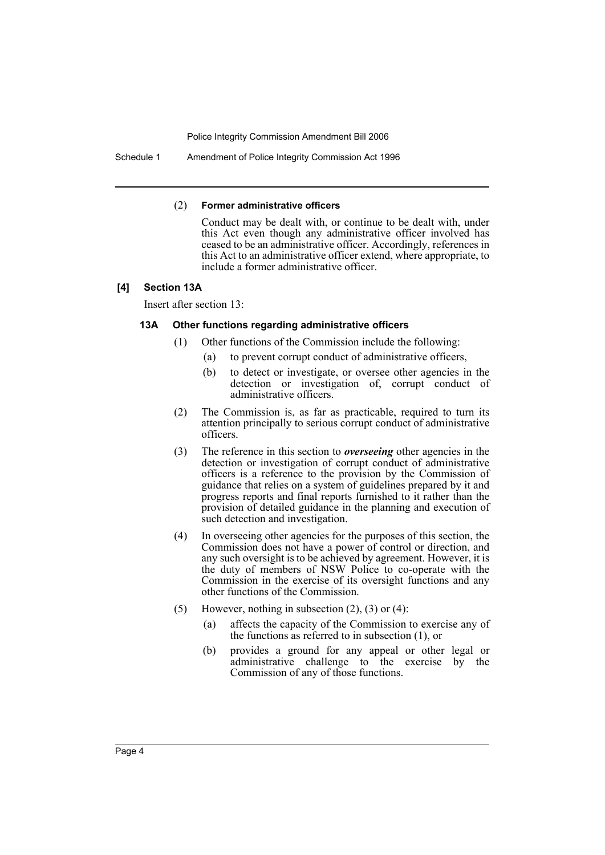Schedule 1 Amendment of Police Integrity Commission Act 1996

#### (2) **Former administrative officers**

Conduct may be dealt with, or continue to be dealt with, under this Act even though any administrative officer involved has ceased to be an administrative officer. Accordingly, references in this Act to an administrative officer extend, where appropriate, to include a former administrative officer.

#### **[4] Section 13A**

Insert after section 13:

#### **13A Other functions regarding administrative officers**

- (1) Other functions of the Commission include the following:
	- (a) to prevent corrupt conduct of administrative officers,
	- (b) to detect or investigate, or oversee other agencies in the detection or investigation of, corrupt conduct of administrative officers.
- (2) The Commission is, as far as practicable, required to turn its attention principally to serious corrupt conduct of administrative officers.
- (3) The reference in this section to *overseeing* other agencies in the detection or investigation of corrupt conduct of administrative officers is a reference to the provision by the Commission of guidance that relies on a system of guidelines prepared by it and progress reports and final reports furnished to it rather than the provision of detailed guidance in the planning and execution of such detection and investigation.
- (4) In overseeing other agencies for the purposes of this section, the Commission does not have a power of control or direction, and any such oversight is to be achieved by agreement. However, it is the duty of members of NSW Police to co-operate with the Commission in the exercise of its oversight functions and any other functions of the Commission.
- (5) However, nothing in subsection  $(2)$ ,  $(3)$  or  $(4)$ :
	- (a) affects the capacity of the Commission to exercise any of the functions as referred to in subsection (1), or
	- (b) provides a ground for any appeal or other legal or administrative challenge to the exercise by the Commission of any of those functions.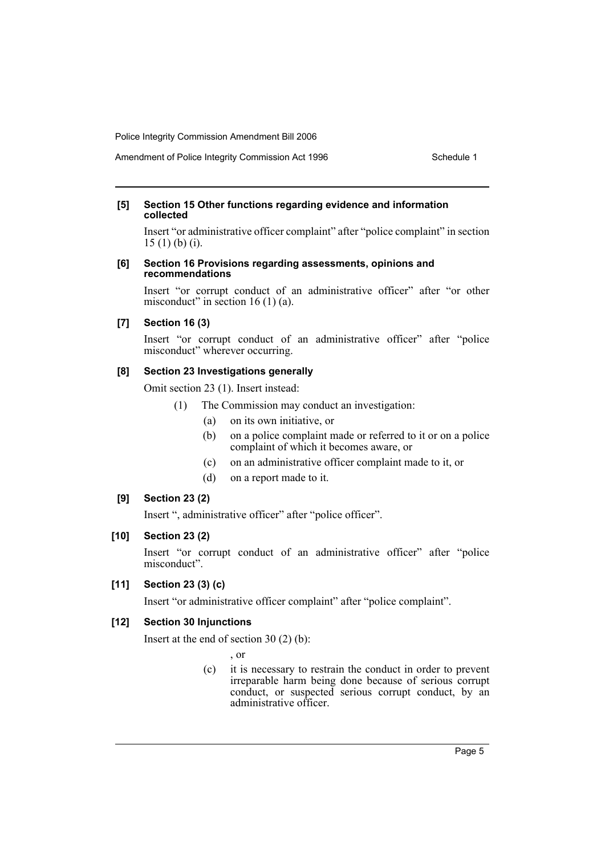# Amendment of Police Integrity Commission Act 1996 Schedule 1

#### **[5] Section 15 Other functions regarding evidence and information collected**

Insert "or administrative officer complaint" after "police complaint" in section 15 (1) (b) (i).

#### **[6] Section 16 Provisions regarding assessments, opinions and recommendations**

Insert "or corrupt conduct of an administrative officer" after "or other misconduct" in section 16 $(1)$  $(a)$ .

# **[7] Section 16 (3)**

Insert "or corrupt conduct of an administrative officer" after "police misconduct" wherever occurring.

#### **[8] Section 23 Investigations generally**

Omit section 23 (1). Insert instead:

- (1) The Commission may conduct an investigation:
	- (a) on its own initiative, or
	- (b) on a police complaint made or referred to it or on a police complaint of which it becomes aware, or
	- (c) on an administrative officer complaint made to it, or
	- (d) on a report made to it.

# **[9] Section 23 (2)**

Insert ", administrative officer" after "police officer".

# **[10] Section 23 (2)**

Insert "or corrupt conduct of an administrative officer" after "police misconduct".

# **[11] Section 23 (3) (c)**

Insert "or administrative officer complaint" after "police complaint".

# **[12] Section 30 Injunctions**

Insert at the end of section 30 (2) (b):

, or

(c) it is necessary to restrain the conduct in order to prevent irreparable harm being done because of serious corrupt conduct, or suspected serious corrupt conduct, by an administrative officer.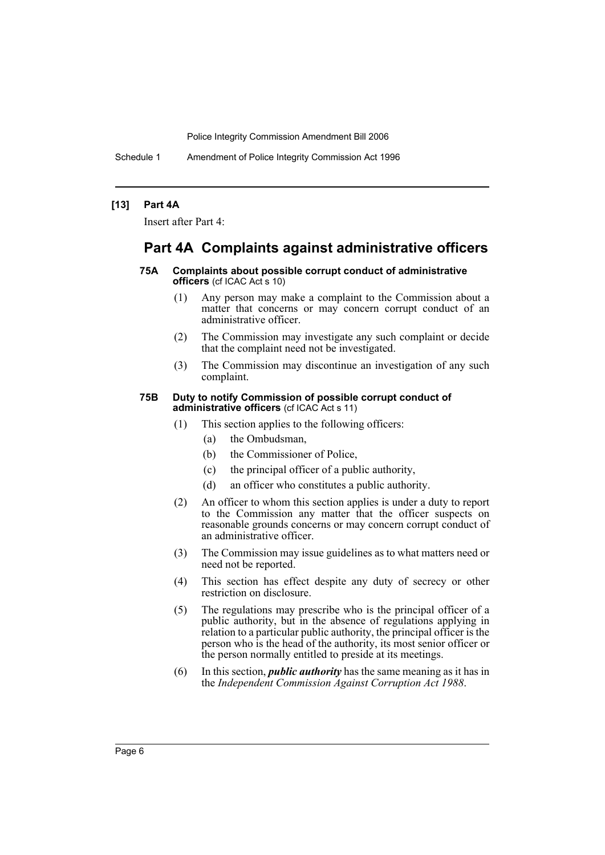Schedule 1 Amendment of Police Integrity Commission Act 1996

#### **[13] Part 4A**

Insert after Part 4:

# **Part 4A Complaints against administrative officers**

#### **75A Complaints about possible corrupt conduct of administrative officers** (cf ICAC Act s 10)

- (1) Any person may make a complaint to the Commission about a matter that concerns or may concern corrupt conduct of an administrative officer.
- (2) The Commission may investigate any such complaint or decide that the complaint need not be investigated.
- (3) The Commission may discontinue an investigation of any such complaint.

#### **75B Duty to notify Commission of possible corrupt conduct of administrative officers** (cf ICAC Act s 11)

- (1) This section applies to the following officers:
	- (a) the Ombudsman,
	- (b) the Commissioner of Police,
	- (c) the principal officer of a public authority,
	- (d) an officer who constitutes a public authority.
- (2) An officer to whom this section applies is under a duty to report to the Commission any matter that the officer suspects on reasonable grounds concerns or may concern corrupt conduct of an administrative officer.
- (3) The Commission may issue guidelines as to what matters need or need not be reported.
- (4) This section has effect despite any duty of secrecy or other restriction on disclosure.
- (5) The regulations may prescribe who is the principal officer of a public authority, but in the absence of regulations applying in relation to a particular public authority, the principal officer is the person who is the head of the authority, its most senior officer or the person normally entitled to preside at its meetings.
- (6) In this section, *public authority* has the same meaning as it has in the *Independent Commission Against Corruption Act 1988*.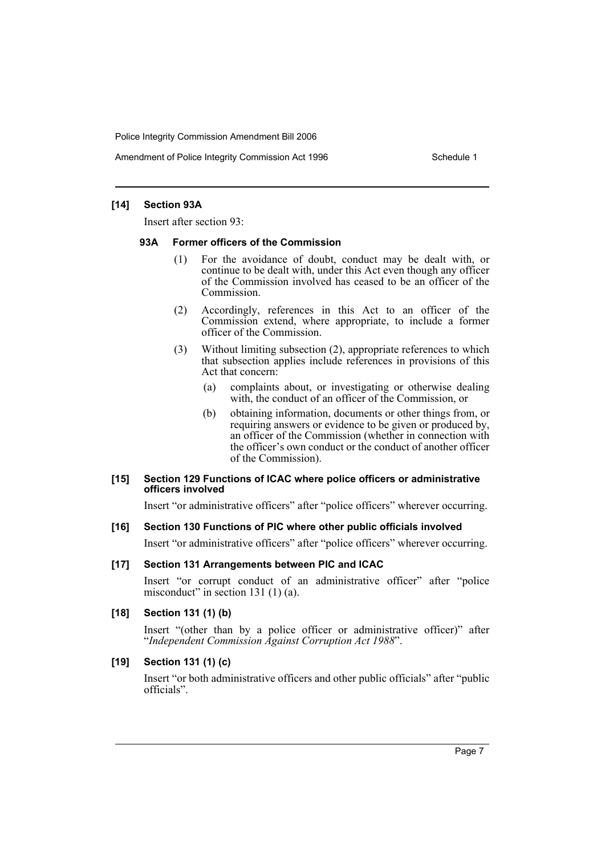Amendment of Police Integrity Commission Act 1996 Schedule 1

### **[14] Section 93A**

Insert after section 93:

#### **93A Former officers of the Commission**

- (1) For the avoidance of doubt, conduct may be dealt with, or continue to be dealt with, under this Act even though any officer of the Commission involved has ceased to be an officer of the Commission.
- (2) Accordingly, references in this Act to an officer of the Commission extend, where appropriate, to include a former officer of the Commission.
- (3) Without limiting subsection (2), appropriate references to which that subsection applies include references in provisions of this Act that concern:
	- (a) complaints about, or investigating or otherwise dealing with, the conduct of an officer of the Commission, or
	- (b) obtaining information, documents or other things from, or requiring answers or evidence to be given or produced by, an officer of the Commission (whether in connection with the officer's own conduct or the conduct of another officer of the Commission).

#### **[15] Section 129 Functions of ICAC where police officers or administrative officers involved**

Insert "or administrative officers" after "police officers" wherever occurring.

### **[16] Section 130 Functions of PIC where other public officials involved**

Insert "or administrative officers" after "police officers" wherever occurring.

#### **[17] Section 131 Arrangements between PIC and ICAC**

Insert "or corrupt conduct of an administrative officer" after "police misconduct" in section 131 (1) (a).

#### **[18] Section 131 (1) (b)**

Insert "(other than by a police officer or administrative officer)" after "*Independent Commission Against Corruption Act 1988*".

#### **[19] Section 131 (1) (c)**

Insert "or both administrative officers and other public officials" after "public officials".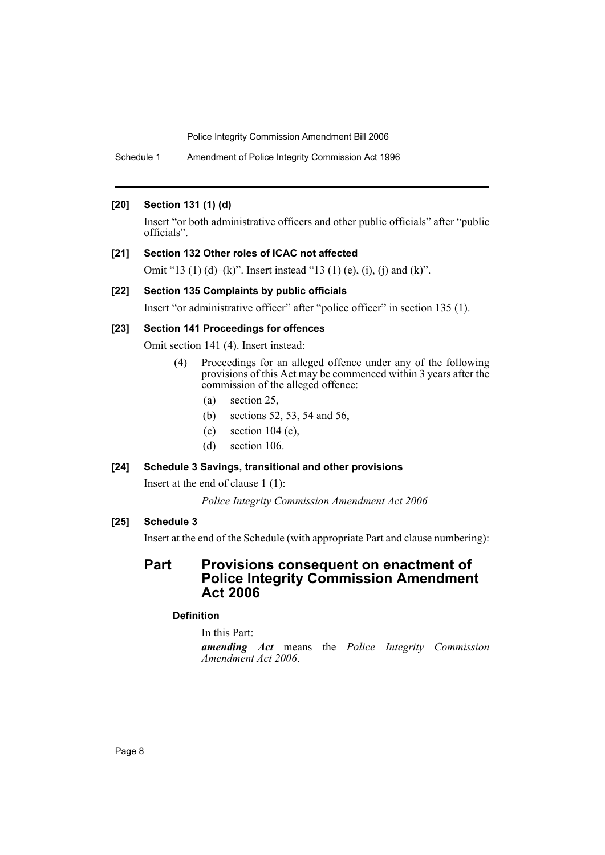Schedule 1 Amendment of Police Integrity Commission Act 1996

# **[20] Section 131 (1) (d)**

Insert "or both administrative officers and other public officials" after "public officials".

# **[21] Section 132 Other roles of ICAC not affected**

Omit "13 (1) (d)–(k)". Insert instead "13 (1) (e), (i), (j) and (k)".

# **[22] Section 135 Complaints by public officials**

Insert "or administrative officer" after "police officer" in section 135 (1).

# **[23] Section 141 Proceedings for offences**

Omit section 141 (4). Insert instead:

- (4) Proceedings for an alleged offence under any of the following provisions of this Act may be commenced within 3 years after the commission of the alleged offence:
	- (a) section 25,
	- (b) sections 52, 53, 54 and 56,
	- (c) section 104 (c),
	- (d) section 106.

# **[24] Schedule 3 Savings, transitional and other provisions**

Insert at the end of clause 1 (1):

*Police Integrity Commission Amendment Act 2006*

# **[25] Schedule 3**

Insert at the end of the Schedule (with appropriate Part and clause numbering):

# **Part Provisions consequent on enactment of Police Integrity Commission Amendment Act 2006**

# **Definition**

In this Part:

*amending Act* means the *Police Integrity Commission Amendment Act 2006*.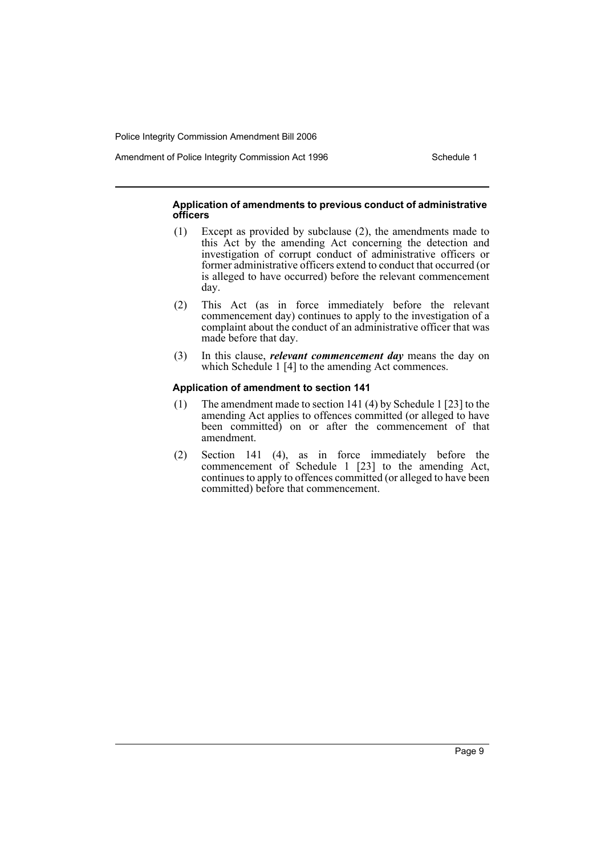Amendment of Police Integrity Commission Act 1996 Schedule 1

#### **Application of amendments to previous conduct of administrative officers**

- (1) Except as provided by subclause (2), the amendments made to this Act by the amending Act concerning the detection and investigation of corrupt conduct of administrative officers or former administrative officers extend to conduct that occurred (or is alleged to have occurred) before the relevant commencement day.
- (2) This Act (as in force immediately before the relevant commencement day) continues to apply to the investigation of a complaint about the conduct of an administrative officer that was made before that day.
- (3) In this clause, *relevant commencement day* means the day on which Schedule 1 [4] to the amending Act commences.

#### **Application of amendment to section 141**

- (1) The amendment made to section 141 (4) by Schedule 1 [23] to the amending Act applies to offences committed (or alleged to have been committed) on or after the commencement of that amendment.
- (2) Section 141 (4), as in force immediately before the commencement of Schedule 1 [23] to the amending Act, continues to apply to offences committed (or alleged to have been committed) before that commencement.